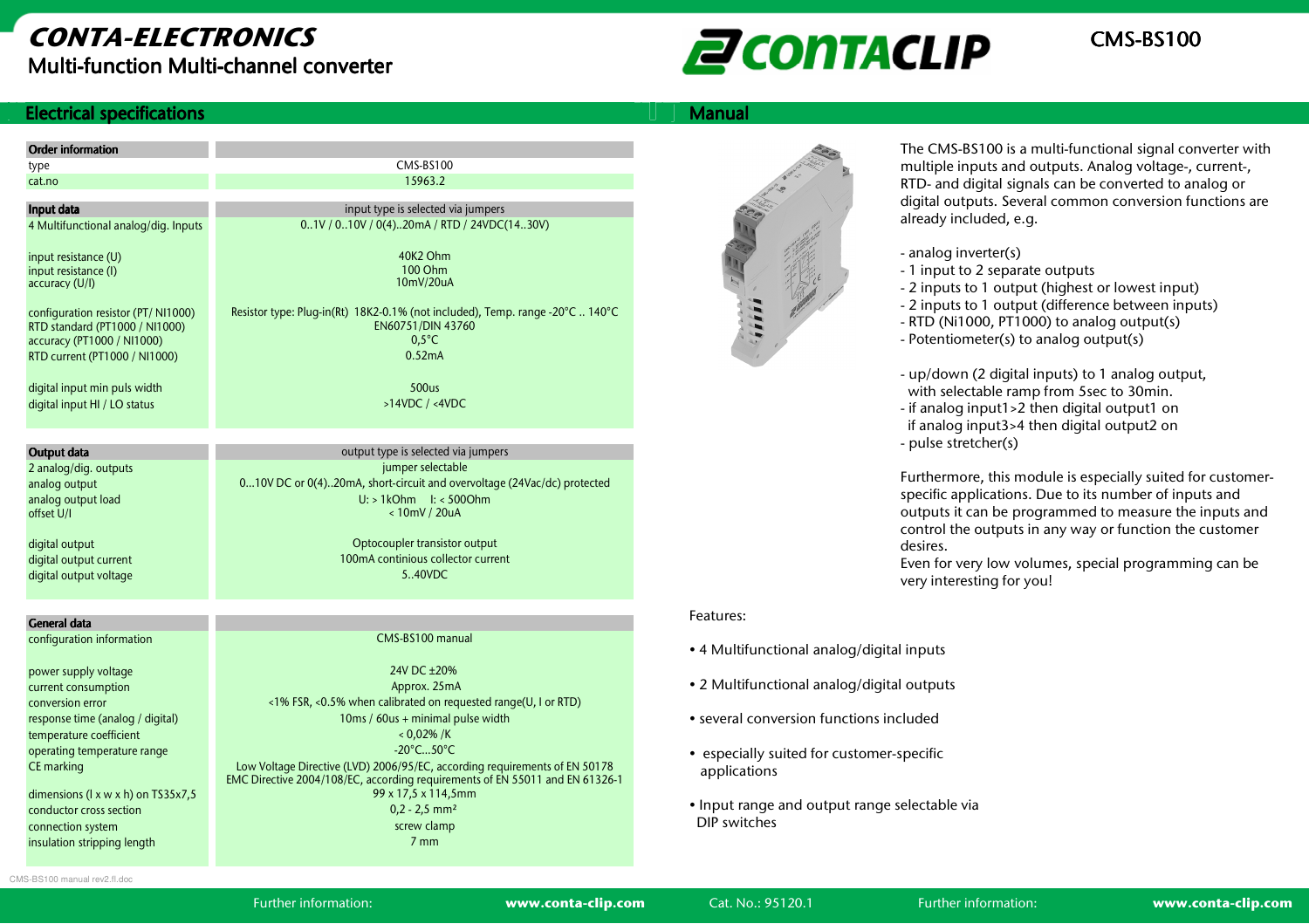

#### **Electrical specifications**

| <b>Manual</b> |
|---------------|
|               |

| <b>Order information</b>                         |                                                                                                             |  |
|--------------------------------------------------|-------------------------------------------------------------------------------------------------------------|--|
| type                                             | <b>CMS-BS100</b>                                                                                            |  |
| cat.no                                           | 15963.2                                                                                                     |  |
| Input data                                       | input type is selected via jumpers                                                                          |  |
| 4 Multifunctional analog/dig. Inputs             | 01V / 010V / 0(4)20mA / RTD / 24VDC(1430V)                                                                  |  |
|                                                  |                                                                                                             |  |
| input resistance (U)                             | 40K2 Ohm                                                                                                    |  |
| input resistance (I)                             | 100 Ohm                                                                                                     |  |
| accuracy (U/I)                                   | 10mV/20uA                                                                                                   |  |
| configuration resistor (PT/NI1000)               | Resistor type: Plug-in(Rt) 18K2-0.1% (not included), Temp. range -20°C  140°C                               |  |
| RTD standard (PT1000 / NI1000)                   | EN60751/DIN 43760                                                                                           |  |
| accuracy (PT1000 / NI1000)                       | $0.5^{\circ}$ C                                                                                             |  |
| RTD current (PT1000 / NI1000)                    | 0.52mA                                                                                                      |  |
|                                                  |                                                                                                             |  |
| digital input min puls width                     | 500us                                                                                                       |  |
| digital input HI / LO status                     | $>14VDC$ / <4VDC                                                                                            |  |
|                                                  |                                                                                                             |  |
|                                                  |                                                                                                             |  |
| Output data                                      | output type is selected via jumpers                                                                         |  |
| 2 analog/dig. outputs                            | jumper selectable                                                                                           |  |
| analog output                                    | 010V DC or 0(4)20mA, short-circuit and overvoltage (24Vac/dc) protected                                     |  |
| analog output load                               | $U:$ > 1kOhm $I:$ < 500Ohm                                                                                  |  |
| offset U/I                                       | <10mV / 20uA                                                                                                |  |
| digital output                                   | Optocoupler transistor output                                                                               |  |
| digital output current                           | 100mA continious collector current                                                                          |  |
| digital output voltage                           | 5 40VDC                                                                                                     |  |
|                                                  |                                                                                                             |  |
|                                                  |                                                                                                             |  |
| General data<br>configuration information        | CMS-BS100 manual                                                                                            |  |
|                                                  |                                                                                                             |  |
| power supply voltage                             | 24V DC +20%                                                                                                 |  |
| current consumption                              | Approx. 25mA                                                                                                |  |
| conversion error                                 | <1% FSR, <0.5% when calibrated on requested range(U, I or RTD)                                              |  |
| response time (analog / digital)                 | 10ms / 60us + minimal pulse width                                                                           |  |
|                                                  |                                                                                                             |  |
| temperature coefficient                          | < 0.02% / K                                                                                                 |  |
| operating temperature range                      | $-20^{\circ}$ C50 $^{\circ}$ C                                                                              |  |
| CE marking                                       | Low Voltage Directive (LVD) 2006/95/EC, according requirements of EN 50178                                  |  |
|                                                  |                                                                                                             |  |
| dimensions (I x w x h) on TS35x7,5               | 99 x 17,5 x 114,5mm                                                                                         |  |
| conductor cross section                          | EMC Directive 2004/108/EC, according requirements of EN 55011 and EN 61326-1<br>$0,2 - 2,5$ mm <sup>2</sup> |  |
| connection system<br>insulation stripping length | screw clamp<br>7 <sub>mm</sub>                                                                              |  |



The CMS-BS100 is a multi-functional signal converter with multiple inputs and outputs. Analog voltage-, current-, RTD- and digital signals can be converted to analog or digital outputs. Several common conversion functions are already included, e.g.

- analog inverter(s)
- 1 input to 2 separate outputs
- 2 inputs to 1 output (highest or lowest input)
- 2 inputs to 1 output (difference between inputs)
- RTD (Ni1000, PT1000) to analog output(s)
- Potentiometer(s) to analog output(s)
- up/down (2 digital inputs) to 1 analog output, with selectable ramp from 5sec to 30min.
- if analog input1>2 then digital output1 on if analog input3>4 then digital output2 on - pulse stretcher(s)

Furthermore, this module is especially suited for customerspecific applications. Due to its number of inputs and outputs it can be programmed to measure the inputs and control the outputs in any way or function the customer desires.

 Even for very low volumes, special programming can be very interesting for you!

#### Features:

- 4 Multifunctional analog/digital inputs
- 2 Multifunctional analog/digital outputs
- several conversion functions included
- especially suited for customer-specific applications
- Input range and output range selectable via DIP switches

CMS-BS100 manual rev2.fl.doc

Further information: www.conta-clip.com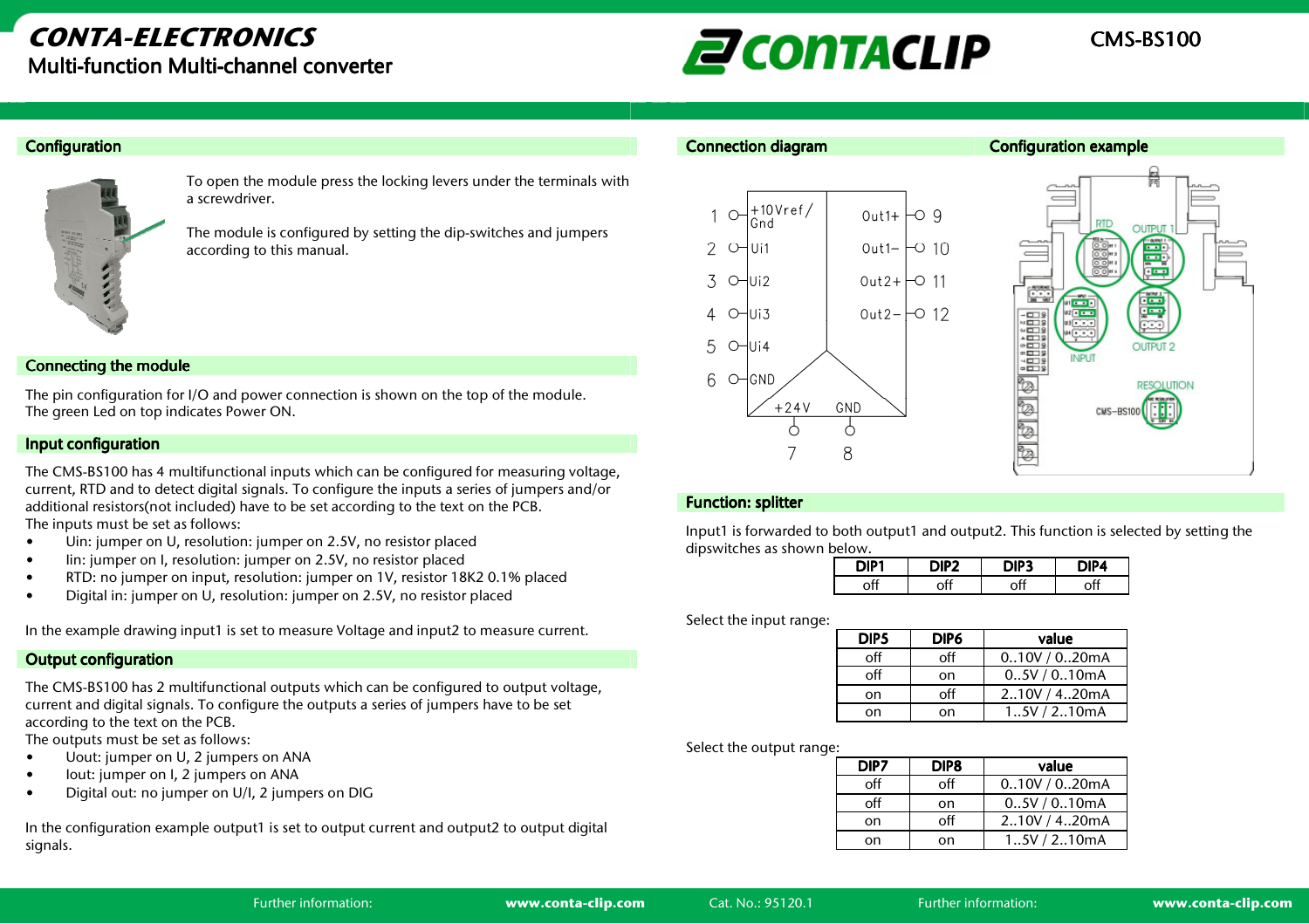# $E$ CONTACLIP  $\frac{\text{CMS-BS100}}{}$

#### **Configuration**



To open the module press the locking levers under the terminals with a screwdriver.

The module is configured by setting the dip-switches and jumpers according to this manual.

#### Connecting the module

The pin configuration for I/O and power connection is shown on the top of the module. The green Led on top indicates Power ON.

#### Input configuration

The CMS-BS100 has 4 multifunctional inputs which can be configured for measuring voltage, current, RTD and to detect digital signals. To configure the inputs a series of jumpers and/or additional resistors(not included) have to be set according to the text on the PCB. The inputs must be set as follows:

- Uin: jumper on U, resolution: jumper on 2.5V, no resistor placed •
- •Iin: jumper on I, resolution: jumper on 2.5V, no resistor placed
- •RTD: no jumper on input, resolution: jumper on 1V, resistor 18K2 0.1% placed
- •Digital in: jumper on U, resolution: jumper on 2.5V, no resistor placed

In the example drawing input1 is set to measure Voltage and input2 to measure current.

#### **Output configuration**

The CMS-BS100 has 2 multifunctional outputs which can be configured to output voltage, current and digital signals. To configure the outputs a series of jumpers have to be set according to the text on the PCB.

The outputs must be set as follows:

- Uout: jumper on U, 2 jumpers on ANA •
- •Iout: jumper on I, 2 jumpers on ANA
- •Digital out: no jumper on U/I, 2 jumpers on DIG

In the configuration example output1 is set to output current and output2 to output digital signals.



#### Function: splitter

Input1 is forwarded to both output1 and output2. This function is selected by setting the dipswitches as shown below.

| DIP. | כיוור | . . |
|------|-------|-----|
|      |       |     |

Select the input range:

| DIP <sub>5</sub> | DIP6 | value          |
|------------------|------|----------------|
| off              | off  | 0.10V / 0.20mA |
| off              | on   | 0.5V / 0.10mA  |
| on               | off  | 210V / 420mA   |
| on               | on   | 1.5V/2.10mA    |

Select the output range:

| DIP7 | DIP <sub>8</sub> | value          |
|------|------------------|----------------|
| off  | off              | 0.10V / 0.20mA |
| off  | on               | 0.5V / 0.10mA  |
| on   | off              | 210V / 420mA   |
| on   | on               | 1.5V/2.10mA    |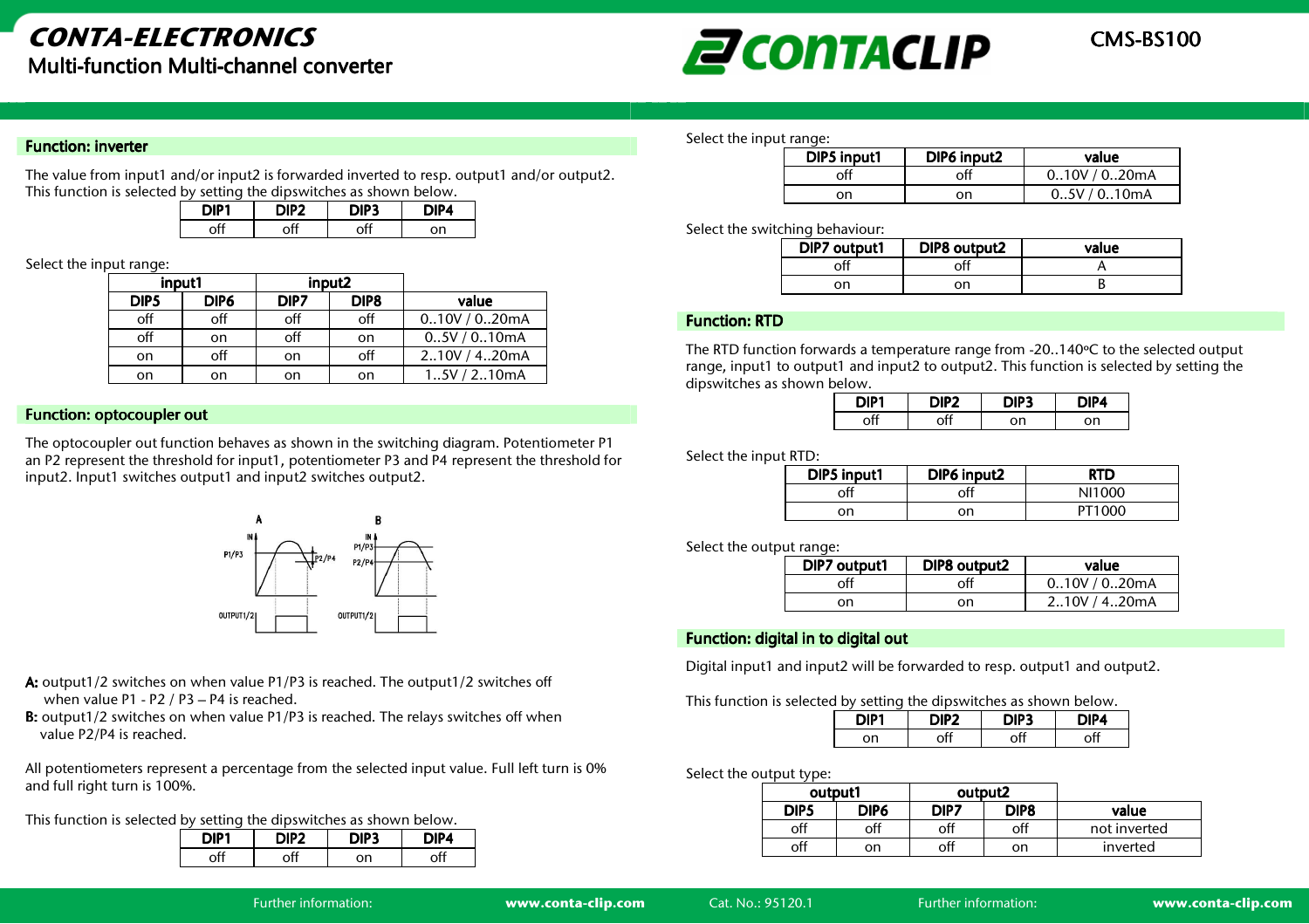

#### **Function: inverter**

The value from input1 and/or input2 is forwarded inverted to resp. output1 and/or output2. This function is selected by setting the dipswitches as shown below.

| DIP. | JIPZ. |    |
|------|-------|----|
|      | ۱П    | nn |

#### Select the input range:

| input1           |      | input2 |                  |                |
|------------------|------|--------|------------------|----------------|
| DIP <sub>5</sub> | DIP6 | DIP7   | DIP <sub>8</sub> | value          |
| off              | off  | off    | off              | 0.10V / 0.20mA |
| off              | on   | off    | on               | 0.5V / 0.10mA  |
| on               | off  | on     | off              | 2.10V / 4.20mA |
| on               | on   | on     | on               | 1.5V/2.10mA    |

#### Function: optocoupler out

The optocoupler out function behaves as shown in the switching diagram. Potentiometer P1 an P2 represent the threshold for input1, potentiometer P3 and P4 represent the threshold for input2. Input1 switches output1 and input2 switches output2.



- **A:** output1/2 switches on when value P1/P3 is reached. The output1/2 switches off when value P1 - P2 / P3 – P4 is reached.
- B: output1/2 switches on when value P1/P3 is reached. The relays switches off when value P2/P4 is reached.

All potentiometers represent a percentage from the selected input value. Full left turn is 0% and full right turn is 100%.

This function is selected by setting the dipswitches as shown below.

| .<br>. |         |    |             |
|--------|---------|----|-------------|
| DIP1   | . JIP 2 |    | <b>NIP4</b> |
|        | ٦Ħ      | on | ٦ť          |

Select the input range:

| DIP5 input1 | DIP6 input2 | value          |
|-------------|-------------|----------------|
| рff         | off         | 0.10V / 0.20mA |
| nn          | on          | 0.5V/0.10mA    |

Select the switching behaviour:

| DIP7 output1 | DIP8 output2 | value |
|--------------|--------------|-------|
|              |              |       |
| οn           | οn           |       |

#### Function: RTD

The RTD function forwards a temperature range from -20..140ºC to the selected output range, input1 to output1 and input2 to output2. This function is selected by setting the dipswitches as shown below.

| ЛΡ | י יחות ה |    | - - |
|----|----------|----|-----|
|    |          | nn | on  |

Select the input RTD:

| DIP5 input1 | DIP6 input2 | <b>RTD</b> |
|-------------|-------------|------------|
| off         | off         | NI1000     |
| on          | on          | PT1000     |

Select the output range:

| DIP7 output1 | DIP8 output2 | value          |
|--------------|--------------|----------------|
|              | оff          | 0.10V / 0.20mA |
| on           | on           | 210V / 420mA   |

#### Function: digital in to digital out

Digital input1 and input2 will be forwarded to resp. output1 and output2.

This function is selected by setting the dipswitches as shown below.

| DIP1 | כיונו | ∵יונ. | )IP4 |
|------|-------|-------|------|
| nn   | nĦ    |       |      |

Select the output type:

| output1 |      | output2 |      |              |
|---------|------|---------|------|--------------|
| DIP5    | DIP6 | DIP7    | DIP8 | value        |
| off     | off  | off     | off  | not inverted |
| off     | on   | off     | on   | inverted     |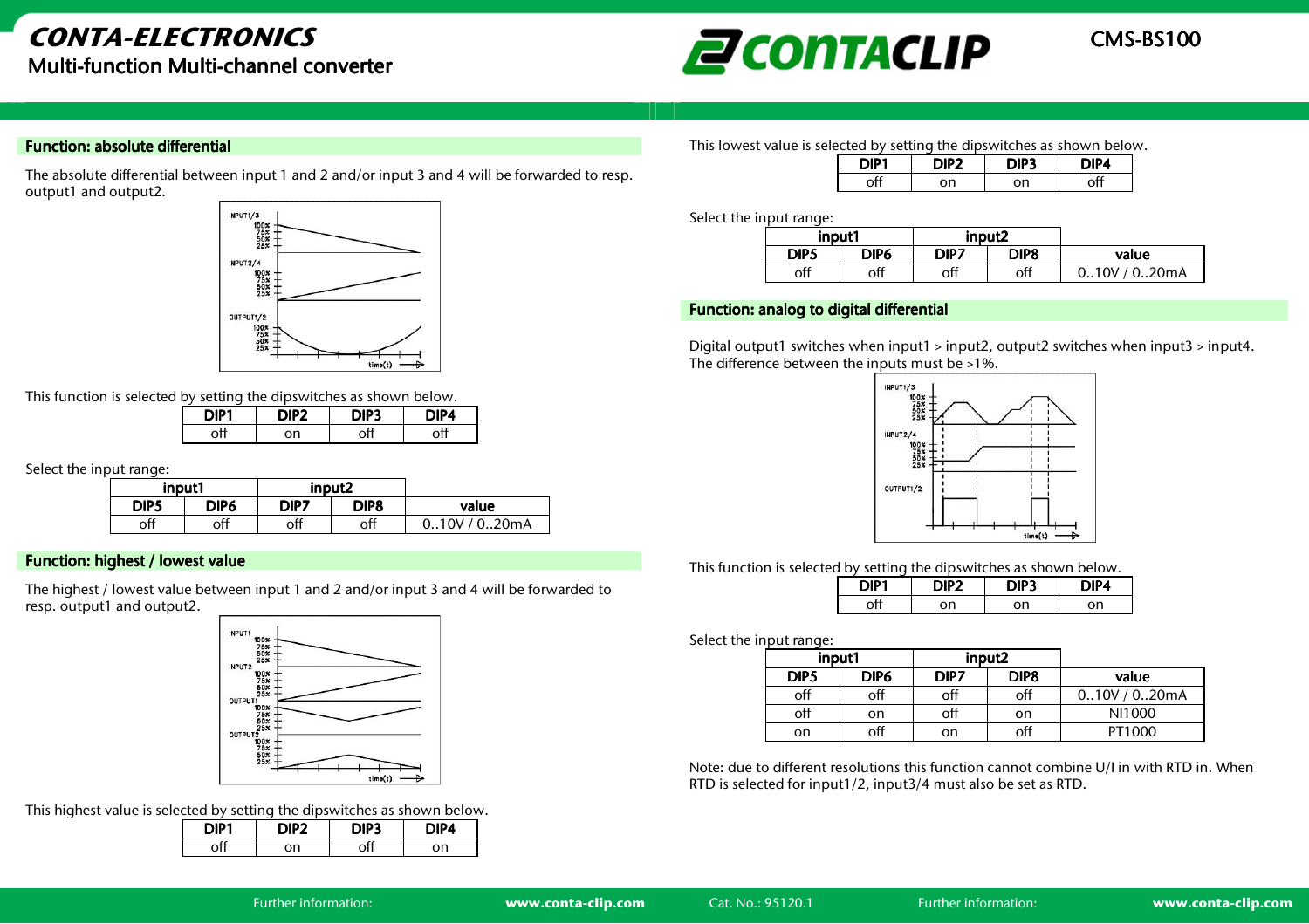

#### Function: absolute differential

The absolute differential between input 1 and 2 and/or input 3 and 4 will be forwarded to resp. output1 and output2.



This function is selected by setting the dipswitches as shown below.

| DIP1 | DIP <sub>2</sub> | DIP3 | DIP4 |
|------|------------------|------|------|
|      | nn               | ٦Ħ   | ∩ff  |

Select the input range:

| input1 |      | input2 |      |                   |
|--------|------|--------|------|-------------------|
| DIP5   | DIP6 | DIP7   | DIP8 | value             |
| off    | off  | off    | off  | / 0.20mA<br>0.10V |

#### Function: highest / lowest value

The highest / lowest value between input 1 and 2 and/or input 3 and 4 will be forwarded to resp. output1 and output2.



This highest value is selected by setting the dipswitches as shown below.

| DIP1 | 2טורו | " Pال | DIP4 |
|------|-------|-------|------|
| off  | on    |       | on   |

This lowest value is selected by setting the dipswitches as shown below.

| DIP <sub>1</sub> | DIP <sub>2</sub> | DIP3 | DIP4 |
|------------------|------------------|------|------|
|                  | nn               | on   |      |

Select the input range:

| input1      |      | input2 |      |          |
|-------------|------|--------|------|----------|
| <b>DIP5</b> | DIP6 | DIP7   | DIP8 | value    |
| off         | off  | off    | off  | / 0.20mA |

#### Function: analog to digital differential

Digital output1 switches when input1 > input2, output2 switches when input3 > input4. The difference between the inputs must be >1%.



This function is selected by setting the dipswitches as shown below.

| DIP1 | JIP2 | DIP3 | גטור |
|------|------|------|------|
|      | nn   | nn   | Ωn   |

Select the input range:

| input1 |      | input <sub>2</sub> |      |                |
|--------|------|--------------------|------|----------------|
| DIP5   | DIP6 | DIP7               | DIP8 | value          |
| off    | off  | off                | off  | 0.10V / 0.20mA |
| off    | on   | off                | on   | NI1000         |
| on     | off  | on                 | off  | PT1000         |

Note: due to different resolutions this function cannot combine U/I in with RTD in. When RTD is selected for input1/2, input3/4 must also be set as RTD.